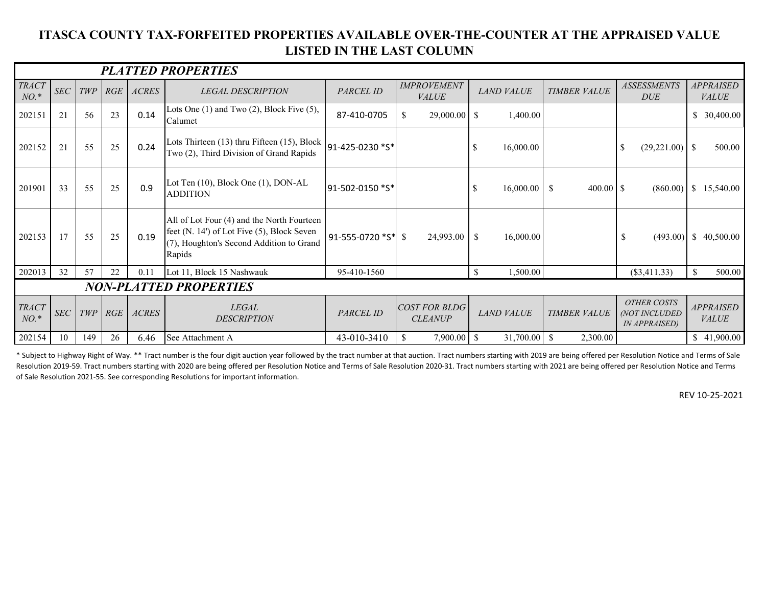## **ITASCA COUNTY TAX-FORFEITED PROPERTIES AVAILABLE OVER-THE-COUNTER AT THE APPRAISED VALUE LISTED IN THE LAST COLUMN**

| <b>PLATTED PROPERTIES</b>     |            |     |           |              |                                                                                                                                                |                    |                                        |                            |                     |                                                      |                                  |
|-------------------------------|------------|-----|-----------|--------------|------------------------------------------------------------------------------------------------------------------------------------------------|--------------------|----------------------------------------|----------------------------|---------------------|------------------------------------------------------|----------------------------------|
| <b>TRACT</b><br>$NO.*$        | SEC        | TWP | RGE       | <b>ACRES</b> | <b>LEGAL DESCRIPTION</b>                                                                                                                       | PARCEL ID          | <b>IMPROVEMENT</b><br><b>VALUE</b>     | <b>LAND VALUE</b>          | <b>TIMBER VALUE</b> | <b>ASSESSMENTS</b><br><b>DUE</b>                     | <b>APPRAISED</b><br><b>VALUE</b> |
| 202151                        | 21         | 56  | 23        | 0.14         | Lots One $(1)$ and Two $(2)$ , Block Five $(5)$ ,<br>Calumet                                                                                   | 87-410-0705        | \$<br>29,000.00                        | <sup>S</sup><br>1,400.00   |                     |                                                      | 30,400.00                        |
| 202152                        | 21         | 55  | 25        | 0.24         | Lots Thirteen (13) thru Fifteen (15), Block $ 91-425-0230 *5* $<br>Two (2), Third Division of Grand Rapids                                     |                    |                                        | <sup>\$</sup><br>16,000.00 |                     | $(29,221.00)$ \$<br>-S                               | 500.00                           |
| 201901                        | 33         | 55  | 25        | 0.9          | Lot Ten (10), Block One (1), DON-AL<br><b>ADDITION</b>                                                                                         | 91-502-0150 *S*    |                                        | 16,000.00<br>-S            | - \$                | (860.00)                                             | $\overline{1}$<br>15,540.00      |
| 202153                        | 17         | 55  | 25        | 0.19         | All of Lot Four (4) and the North Fourteen<br>feet (N. 14') of Lot Five (5), Block Seven<br>(7), Houghton's Second Addition to Grand<br>Rapids | 91-555-0720 *S* \$ | 24,993.00                              | -S<br>16,000.00            |                     | \$<br>(493.00)                                       | <sup>\$</sup><br>40,500.00       |
| 202013                        | 32         | 57  | 22        | 0.11         | Lot 11, Block 15 Nashwauk                                                                                                                      | 95-410-1560        |                                        | <sup>\$</sup><br>1,500.00  |                     | $(\$3,411.33)$                                       | 500.00                           |
| <b>NON-PLATTED PROPERTIES</b> |            |     |           |              |                                                                                                                                                |                    |                                        |                            |                     |                                                      |                                  |
| <b>TRACT</b><br>$NO.$ *       | <b>SEC</b> |     | $TWP$ RGE | ACRES        | <b>LEGAL</b><br><b>DESCRIPTION</b>                                                                                                             | PARCEL ID          | <b>COST FOR BLDG</b><br><b>CLEANUP</b> | <b>LAND VALUE</b>          | <b>TIMBER VALUE</b> | <b>OTHER COSTS</b><br>(NOT INCLUDED<br>IN APPRAISED) | <b>APPRAISED</b><br><b>VALUE</b> |
| 202154                        | 10         | 149 | 26        | 6.46         | See Attachment A                                                                                                                               | 43-010-3410        | 7,900.00<br><sup>\$</sup>              | $31,700.00$ \$<br>-\$      | 2,300.00            |                                                      | \$41,900.00                      |

\* Subject to Highway Right of Way. \*\* Tract number is the four digit auction year followed by the tract number at that auction. Tract numbers starting with 2019 are being offered per Resolution Notice and Terms of Sale Resolution 2019-59. Tract numbers starting with 2020 are being offered per Resolution Notice and Terms of Sale Resolution 2020-31. Tract numbers starting with 2021 are being offered per Resolution Notice and Terms of Sale Resolution 2021-55. See corresponding Resolutions for important information.

REV 10-25-2021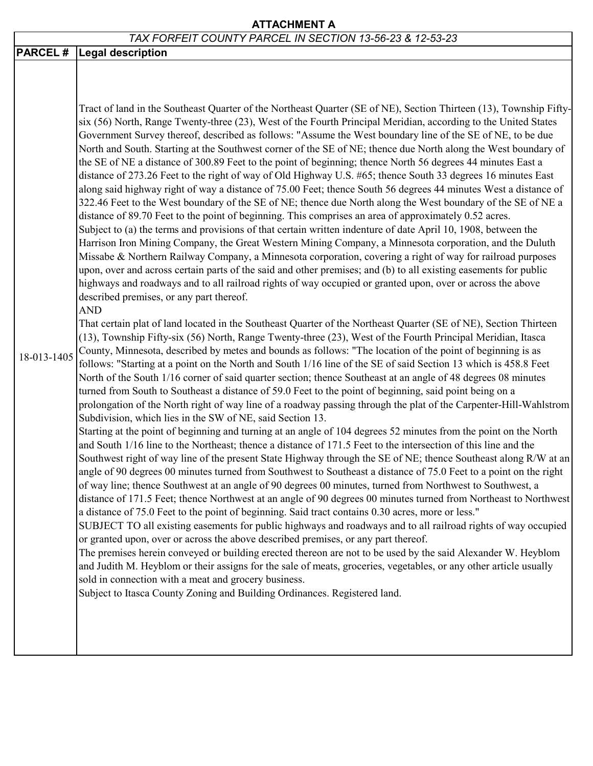## **ATTACHMENT A**

## *TAX FORFEIT COUNTY PARCEL IN SECTION 13-56-23 & 12-53-23*

| 18-013-1405 | <b>PARCEL # Legal description</b><br>Tract of land in the Southeast Quarter of the Northeast Quarter (SE of NE), Section Thirteen (13), Township Fifty-<br>six (56) North, Range Twenty-three (23), West of the Fourth Principal Meridian, according to the United States<br>Government Survey thereof, described as follows: "Assume the West boundary line of the SE of NE, to be due<br>North and South. Starting at the Southwest corner of the SE of NE; thence due North along the West boundary of<br>the SE of NE a distance of 300.89 Feet to the point of beginning; thence North 56 degrees 44 minutes East a<br>distance of 273.26 Feet to the right of way of Old Highway U.S. #65; thence South 33 degrees 16 minutes East<br>along said highway right of way a distance of 75.00 Feet; thence South 56 degrees 44 minutes West a distance of<br>322.46 Feet to the West boundary of the SE of NE; thence due North along the West boundary of the SE of NE a<br>distance of 89.70 Feet to the point of beginning. This comprises an area of approximately 0.52 acres.<br>Subject to (a) the terms and provisions of that certain written indenture of date April 10, 1908, between the<br>Harrison Iron Mining Company, the Great Western Mining Company, a Minnesota corporation, and the Duluth<br>Missabe & Northern Railway Company, a Minnesota corporation, covering a right of way for railroad purposes<br>upon, over and across certain parts of the said and other premises; and (b) to all existing easements for public<br>highways and roadways and to all railroad rights of way occupied or granted upon, over or across the above<br>described premises, or any part thereof.<br><b>AND</b><br>That certain plat of land located in the Southeast Quarter of the Northeast Quarter (SE of NE), Section Thirteen<br>(13), Township Fifty-six (56) North, Range Twenty-three (23), West of the Fourth Principal Meridian, Itasca<br>County, Minnesota, described by metes and bounds as follows: "The location of the point of beginning is as<br>follows: "Starting at a point on the North and South 1/16 line of the SE of said Section 13 which is 458.8 Feet<br>North of the South 1/16 corner of said quarter section; thence Southeast at an angle of 48 degrees 08 minutes<br>turned from South to Southeast a distance of 59.0 Feet to the point of beginning, said point being on a<br>prolongation of the North right of way line of a roadway passing through the plat of the Carpenter-Hill-Wahlstrom<br>Subdivision, which lies in the SW of NE, said Section 13.<br>Starting at the point of beginning and turning at an angle of 104 degrees 52 minutes from the point on the North<br>and South 1/16 line to the Northeast; thence a distance of 171.5 Feet to the intersection of this line and the<br>Southwest right of way line of the present State Highway through the SE of NE; thence Southeast along R/W at an<br>angle of 90 degrees 00 minutes turned from Southwest to Southeast a distance of 75.0 Feet to a point on the right<br>of way line; thence Southwest at an angle of 90 degrees 00 minutes, turned from Northwest to Southwest, a<br>distance of 171.5 Feet; thence Northwest at an angle of 90 degrees 00 minutes turned from Northeast to Northwest<br>a distance of 75.0 Feet to the point of beginning. Said tract contains 0.30 acres, more or less."<br>SUBJECT TO all existing easements for public highways and roadways and to all railroad rights of way occupied<br>or granted upon, over or across the above described premises, or any part thereof. |
|-------------|-----------------------------------------------------------------------------------------------------------------------------------------------------------------------------------------------------------------------------------------------------------------------------------------------------------------------------------------------------------------------------------------------------------------------------------------------------------------------------------------------------------------------------------------------------------------------------------------------------------------------------------------------------------------------------------------------------------------------------------------------------------------------------------------------------------------------------------------------------------------------------------------------------------------------------------------------------------------------------------------------------------------------------------------------------------------------------------------------------------------------------------------------------------------------------------------------------------------------------------------------------------------------------------------------------------------------------------------------------------------------------------------------------------------------------------------------------------------------------------------------------------------------------------------------------------------------------------------------------------------------------------------------------------------------------------------------------------------------------------------------------------------------------------------------------------------------------------------------------------------------------------------------------------------------------------------------------------------------------------------------------------------------------------------------------------------------------------------------------------------------------------------------------------------------------------------------------------------------------------------------------------------------------------------------------------------------------------------------------------------------------------------------------------------------------------------------------------------------------------------------------------------------------------------------------------------------------------------------------------------------------------------------------------------------------------------------------------------------------------------------------------------------------------------------------------------------------------------------------------------------------------------------------------------------------------------------------------------------------------------------------------------------------------------------------------------------------------------------------------------------------------------------------------------------------------------------------------------------------------------------------------------------------------------------------------------------------------------------------------------------------------------------------------------------------------------------------------------------------------------------------------------------------------------------------------------------------------------------------------------------------------------|
|             | The premises herein conveyed or building erected thereon are not to be used by the said Alexander W. Heyblom<br>and Judith M. Heyblom or their assigns for the sale of meats, groceries, vegetables, or any other article usually<br>sold in connection with a meat and grocery business.                                                                                                                                                                                                                                                                                                                                                                                                                                                                                                                                                                                                                                                                                                                                                                                                                                                                                                                                                                                                                                                                                                                                                                                                                                                                                                                                                                                                                                                                                                                                                                                                                                                                                                                                                                                                                                                                                                                                                                                                                                                                                                                                                                                                                                                                                                                                                                                                                                                                                                                                                                                                                                                                                                                                                                                                                                                                                                                                                                                                                                                                                                                                                                                                                                                                                                                                               |
|             | Subject to Itasca County Zoning and Building Ordinances. Registered land.                                                                                                                                                                                                                                                                                                                                                                                                                                                                                                                                                                                                                                                                                                                                                                                                                                                                                                                                                                                                                                                                                                                                                                                                                                                                                                                                                                                                                                                                                                                                                                                                                                                                                                                                                                                                                                                                                                                                                                                                                                                                                                                                                                                                                                                                                                                                                                                                                                                                                                                                                                                                                                                                                                                                                                                                                                                                                                                                                                                                                                                                                                                                                                                                                                                                                                                                                                                                                                                                                                                                                               |